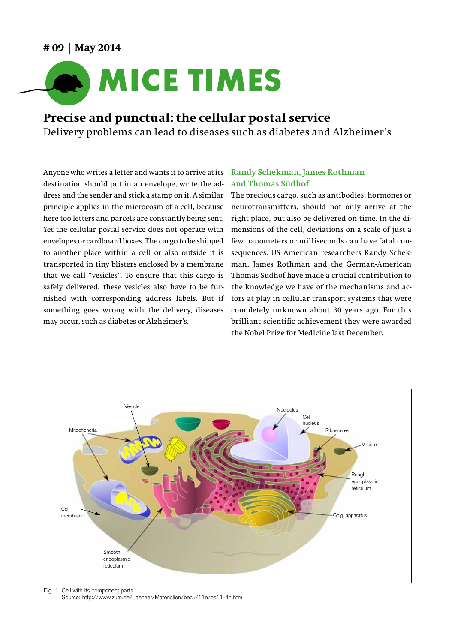## **# 09 | May 2014**



# **Precise and punctual: the cellular postal service**

Delivery problems can lead to diseases such as diabetes and Alzheimer's

Anyone who writes a letter and wants it to arrive at its destination should put in an envelope, write the address and the sender and stick a stamp on it. A similar principle applies in the microcosm of a cell, because here too letters and parcels are constantly being sent. Yet the cellular postal service does not operate with envelopes or cardboard boxes. The cargo to be shipped to another place within a cell or also outside it is transported in tiny blisters enclosed by a membrane that we call "vesicles". To ensure that this cargo is safely delivered, these vesicles also have to be furnished with corresponding address labels. But if something goes wrong with the delivery, diseases may occur, such as diabetes or Alzheimer's.

### **Randy Schekman, James Rothman and Thomas Südhof**

The precious cargo, such as antibodies, hormones or neurotransmitters, should not only arrive at the right place, but also be delivered on time. In the dimensions of the cell, deviations on a scale of just a few nanometers or milliseconds can have fatal consequences. US American researchers Randy Schekman, James Rothman and the German-American Thomas Südhof have made a crucial contribution to the knowledge we have of the mechanisms and actors at play in cellular transport systems that were completely unknown about 30 years ago. For this brilliant scientific achievement they were awarded the Nobel Prize for Medicine last December.



Fig. 1 Cell with its component parts Source: http://www.zum.de/Faecher/Materialien/beck/11n/bs11-4n.htm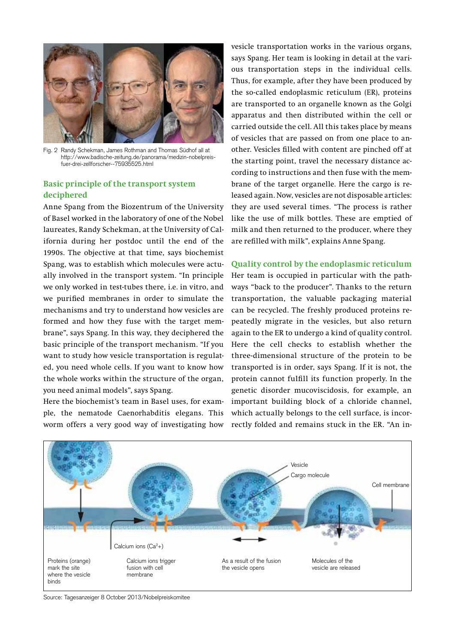

Fig. 2 Randy Schekman, James Rothman and Thomas Südhof all at http://www.badische-zeitung.de/panorama/medizin-nobelpreisfuer-drei-zellforscher--75935525.html

#### **Basic principle of the transport system deciphered**

Anne Spang from the Biozentrum of the University of Basel worked in the laboratory of one of the Nobel laureates, Randy Schekman, at the University of California during her postdoc until the end of the 1990s. The objective at that time, says biochemist Spang, was to establish which molecules were actually involved in the transport system. "In principle we only worked in test-tubes there, i.e. in vitro, and we purified membranes in order to simulate the mechanisms and try to understand how vesicles are formed and how they fuse with the target membrane", says Spang. In this way, they deciphered the basic principle of the transport mechanism. "If you want to study how vesicle transportation is regulated, you need whole cells. If you want to know how the whole works within the structure of the organ, you need animal models", says Spang.

Here the biochemist's team in Basel uses, for example, the nematode Caenorhabditis elegans. This worm offers a very good way of investigating how vesicle transportation works in the various organs, says Spang. Her team is looking in detail at the various transportation steps in the individual cells. Thus, for example, after they have been produced by the so-called endoplasmic reticulum (ER), proteins are transported to an organelle known as the Golgi apparatus and then distributed within the cell or carried outside the cell. All this takes place by means of vesicles that are passed on from one place to another. Vesicles filled with content are pinched off at the starting point, travel the necessary distance according to instructions and then fuse with the membrane of the target organelle. Here the cargo is released again. Now, vesicles are not disposable articles: they are used several times. "The process is rather like the use of milk bottles. These are emptied of milk and then returned to the producer, where they are refilled with milk", explains Anne Spang.

#### **Quality control by the endoplasmic reticulum**

Her team is occupied in particular with the pathways "back to the producer". Thanks to the return transportation, the valuable packaging material can be recycled. The freshly produced proteins repeatedly migrate in the vesicles, but also return again to the ER to undergo a kind of quality control. Here the cell checks to establish whether the three-dimensional structure of the protein to be transported is in order, says Spang. If it is not, the protein cannot fulfill its function properly. In the genetic disorder mucoviscidosis, for example, an important building block of a chloride channel, which actually belongs to the cell surface, is incorrectly folded and remains stuck in the ER. "An in-



Source: Tagesanzeiger 8 October 2013/Nobelpreiskomitee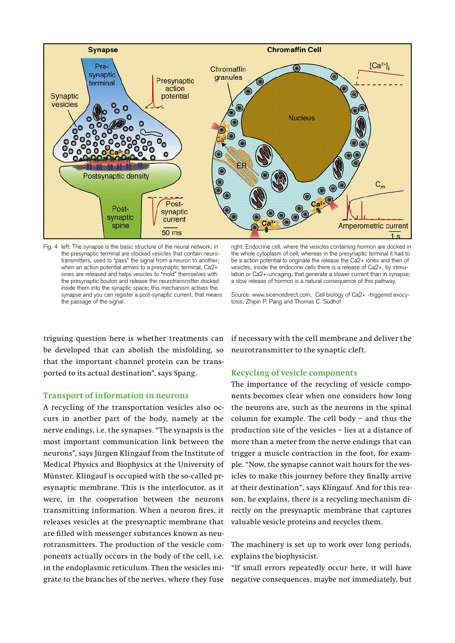

Fig. 4 left: The synapse is the basic structure of the neural network; in the presynaptic terminal are stocked vesicles that contain neurotransmitters, used to "pass" the signal from a neuron to another; when an action potential arrives to a presynaptic terminal, Ca2+ iones are released and helps vesicles to "mold" themselves with the presynaptic bouton and release the neurotransmitter docked inside them into the synaptic space; this mechanism actives the synapse and you can register a post-synaptic current, that means the passage of the signal.

right: Endocrine cell, where the vesicles containing hormon are docked in the whole cytoplasm of cell; whereas in the presynaptic terminal it had to be a action potential to originate the release the Ca2+ iones and then of vesicles, inside the endocrine cells there is a release of Ca2+, by stimulation or Ca2+-uncaging, that generate a slower current than in synapse; a slow release of hormon is a natural consequence of this pathway.

Source: www.sicencedirect.com, Cell biology of Ca2+ -triggered exocytosis, Zhipin P. Pang and Thomas C. Südhof

triguing question here is whether treatments can be developed that can abolish the misfolding, so that the important channel protein can be transported to its actual destination", says Spang.

#### **Transport of information in neurons**

A recycling of the transportation vesicles also occurs in another part of the body, namely at the nerve endings, i.e. the synapses. "The synapsis is the most important communication link between the neurons", says Jürgen Klingauf from the Institute of Medical Physics and Biophysics at the University of Münster. Klingauf is occupied with the so-called presynaptic membrane. This is the interlocutor, as it were, in the cooperation between the neurons transmitting information. When a neuron fires, it releases vesicles at the presynaptic membrane that are filled with messenger substances known as neurotransmitters. The production of the vesicle components actually occurs in the body of the cell, i.e. in the endoplasmic reticulum. Then the vesicles migrate to the branches of the nerves, where they fuse negative consequences, maybe not immediately, but

if necessary with the cell membrane and deliver the neurotransmitter to the synaptic cleft.

#### **Recycling of vesicle components**

The importance of the recycling of vesicle components becomes clear when one considers how long the neurons are, such as the neurons in the spinal column for example. The cell body – and thus the production site of the vesicles – lies at a distance of more than a meter from the nerve endings that can trigger a muscle contraction in the foot, for example. "Now, the synapse cannot wait hours for the vesicles to make this journey before they finally arrive at their destination", says Klingauf. And for this reason, he explains, there is a recycling mechanism directly on the presynaptic membrane that captures valuable vesicle proteins and recycles them.

The machinery is set up to work over long periods, explains the biophysicist.

"If small errors repeatedly occur here, it will have